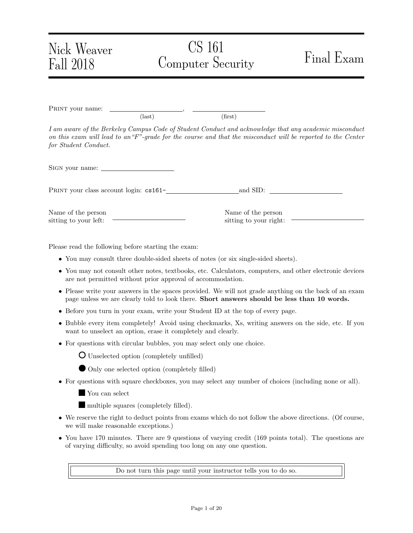| Nick Weaver<br>Fall 2018                    |                 | CS 161<br>Computer Security                  | Final Exam                                                                                                                                                                                                             |
|---------------------------------------------|-----------------|----------------------------------------------|------------------------------------------------------------------------------------------------------------------------------------------------------------------------------------------------------------------------|
| PRINT your name:                            | $\text{(last)}$ | (first)                                      |                                                                                                                                                                                                                        |
| for Student Conduct.                        |                 |                                              | I am aware of the Berkeley Campus Code of Student Conduct and acknowledge that any academic misconduct<br>on this exam will lead to an "F"-grade for the course and that the misconduct will be reported to the Center |
|                                             |                 |                                              |                                                                                                                                                                                                                        |
| PRINT your class account login: cs161-      |                 |                                              | and SID:                                                                                                                                                                                                               |
| Name of the person<br>sitting to your left: |                 | Name of the person<br>sitting to your right: |                                                                                                                                                                                                                        |

Please read the following before starting the exam:

- You may consult three double-sided sheets of notes (or six single-sided sheets).
- You may not consult other notes, textbooks, etc. Calculators, computers, and other electronic devices are not permitted without prior approval of accommodation.
- Please write your answers in the spaces provided. We will not grade anything on the back of an exam page unless we are clearly told to look there. Short answers should be less than 10 words.
- Before you turn in your exam, write your Student ID at the top of every page.
- Bubble every item completely! Avoid using checkmarks, Xs, writing answers on the side, etc. If you want to unselect an option, erase it completely and clearly.
- For questions with circular bubbles, you may select only one choice.



- Only one selected option (completely filled)
- For questions with square checkboxes, you may select any number of choices (including none or all).

You can select

multiple squares (completely filled).

- We reserve the right to deduct points from exams which do not follow the above directions. (Of course, we will make reasonable exceptions.)
- You have 170 minutes. There are 9 questions of varying credit (169 points total). The questions are of varying difficulty, so avoid spending too long on any one question.

Do not turn this page until your instructor tells you to do so.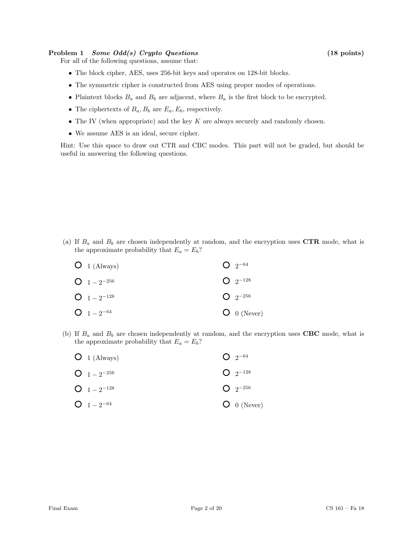# Problem 1 Some Odd(s) Crypto Questions (18 points)

For all of the following questions, assume that:

- The block cipher, AES, uses 256-bit keys and operates on 128-bit blocks.
- The symmetric cipher is constructed from AES using proper modes of operations.
- Plaintext blocks  $B_a$  and  $B_b$  are adjacent, where  $B_a$  is the first block to be encrypted.
- The ciphertexts of  $B_a$ ,  $B_b$  are  $E_a$ ,  $E_b$ , respectively.
- The IV (when appropriate) and the key  $K$  are always securely and randomly chosen.
- We assume AES is an ideal, secure cipher.

Hint: Use this space to draw out CTR and CBC modes. This part will not be graded, but should be useful in answering the following questions.

(a) If  $B_a$  and  $B_b$  are chosen independently at random, and the encryption uses CTR mode, what is the approximate probability that  $E_a = E_b$ ?

| $O_1$ (Always)   | $Q_{2^{-64}}$           |
|------------------|-------------------------|
| $Q_1 = 2^{-256}$ | $Q_{2}$ <sup>-128</sup> |
| $Q_1 = 2^{-128}$ | $Q_{2}$ -256            |
| $O_1 - 2^{-64}$  | $O$ 0 (Never)           |

(b) If  $B_a$  and  $B_b$  are chosen independently at random, and the encryption uses CBC mode, what is the approximate probability that  $E_a = E_b$ ?

| $O_1$ (Always)   | $Q_{2}$ <sup>-64</sup> |
|------------------|------------------------|
| $Q_1 = 2^{-256}$ | $Q_{2}$ -128           |
| $Q_1 = 2^{-128}$ | $Q_{2^{-256}}$         |
| $O_1 - 2^{-64}$  | $O_0$ (Never)          |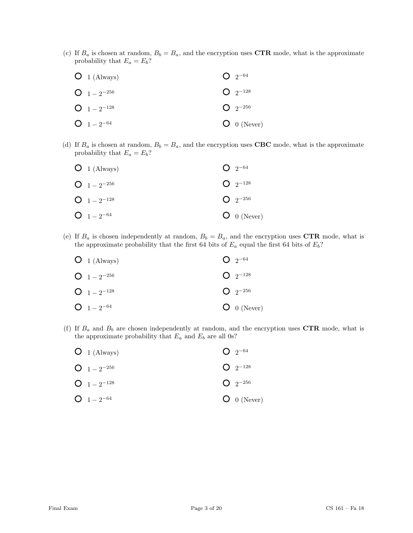(c) If  $B_a$  is chosen at random,  $B_b = B_a$ , and the encryption uses CTR mode, what is the approximate probability that  $E_a = E_b$ ?

| $O_1$ (Always)   | $Q_{2^{-64}}$  |
|------------------|----------------|
| $Q_1 = 2^{-256}$ | $Q_{2^{-128}}$ |
| $Q_1 = 2^{-128}$ | $Q_{2^{-256}}$ |
| $O_{1-2^{-64}}$  | $O_0$ (Never)  |

(d) If  $B_a$  is chosen at random,  $B_b = B_a$ , and the encryption uses **CBC** mode, what is the approximate probability that  $E_a = E_b$ ?

| $O_1$ (Always)   | $Q_{2^{-64}}$           |
|------------------|-------------------------|
| $Q_1 = 2^{-256}$ | $Q_{2}$ <sup>-128</sup> |
| $Q_1 = 2^{-128}$ | $Q_{2}$ -256            |
| $Q_1 = 2^{-64}$  | $O$ 0 (Never)           |

(e) If  $B_a$  is chosen independently at random,  $B_b = B_a$ , and the encryption uses CTR mode, what is the approximate probability that the first 64 bits of  $E_a$  equal the first 64 bits of  $E_b$ ?

| $O_1$ (Always)   | $Q_{2^{-64}}$  |
|------------------|----------------|
| $Q_1 = 2^{-256}$ | $Q_{2}$ -128   |
| $Q_1 = 2^{-128}$ | $Q_{2^{-256}}$ |
| $Q_1 = 2^{-64}$  | $O_0$ (Never)  |

(f) If  $B_a$  and  $B_b$  are chosen independently at random, and the encryption uses  $\mathbf{CTR}$  mode, what is the approximate probability that  $E_a$  and  $E_b$  are all 0s?

| $O_1$ (Always)   | $Q_{2}$ <sup>-64</sup> |
|------------------|------------------------|
| $Q_1 = 2^{-256}$ | $Q_{2^{-128}}$         |
| $Q_{1-2^{-128}}$ | $Q_{2}$ -256           |
| $O_{1-2^{-64}}$  | $O_0$ (Never)          |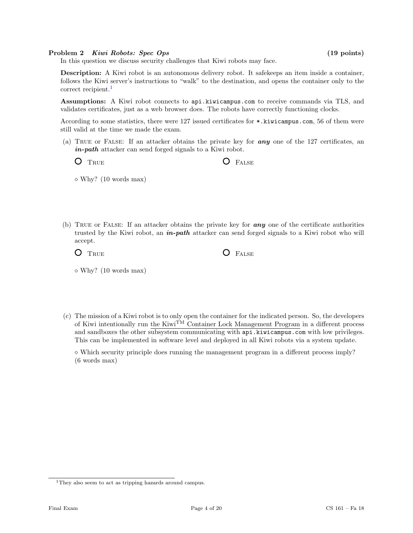### Problem 2 Kiwi Robots: Spec Ops (19 points)

In this question we discuss security challenges that Kiwi robots may face.

Description: A Kiwi robot is an autonomous delivery robot. It safekeeps an item inside a container, follows the Kiwi server's instructions to "walk" to the destination, and opens the container only to the correct recipient.<sup>[1](#page-3-0)</sup>

Assumptions: A Kiwi robot connects to api.kiwicampus.com to receive commands via TLS, and validates certificates, just as a web browser does. The robots have correctly functioning clocks.

According to some statistics, there were 127 issued certificates for \*.kiwicampus.com, 56 of them were still valid at the time we made the exam.

(a) True or False: If an attacker obtains the private key for any one of the 127 certificates, an in-path attacker can send forged signals to a Kiwi robot.

| $O$ TRUE |  | <b>O</b> FALSE |
|----------|--|----------------|
|----------|--|----------------|

 $\diamond$  Why? (10 words max)

(b) True or False: If an attacker obtains the private key for any one of the certificate authorities trusted by the Kiwi robot, an **in-path** attacker can send forged signals to a Kiwi robot who will accept.

 $O$  FALSE

| $O$ True |  |  |  |
|----------|--|--|--|
|          |  |  |  |

 $\diamond$  Why? (10 words max)

(c) The mission of a Kiwi robot is to only open the container for the indicated person. So, the developers of Kiwi intentionally run the Kiwi<sup>TM</sup> Container Lock Management Program in a different process and sandboxes the other subsystem communicating with api.kiwicampus.com with low privileges. This can be implemented in software level and deployed in all Kiwi robots via a system update.

 $\Diamond$  Which security principle does running the management program in a different process imply? (6 words max)

<span id="page-3-0"></span><sup>&</sup>lt;sup>1</sup>They also seem to act as tripping hazards around campus.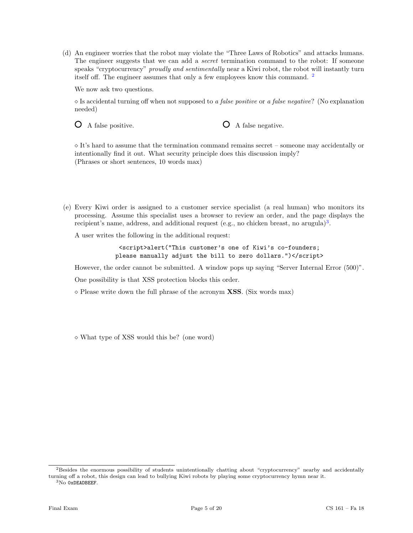(d) An engineer worries that the robot may violate the "Three Laws of Robotics" and attacks humans. The engineer suggests that we can add a *secret* termination command to the robot: If someone speaks "cryptocurrency" *proudly and sentimentally* near a Kiwi robot, the robot will instantly turn itself off. The engineer assumes that only a few employees know this command. [2](#page-4-0)

We now ask two questions.

 $\Diamond$  Is accidental turning off when not supposed to a false positive or a false negative? (No explanation needed)

O A false positive.  $\bigcirc$  A false negative.

 $\Diamond$  It's hard to assume that the termination command remains secret – someone may accidentally or intentionally find it out. What security principle does this discussion imply? (Phrases or short sentences, 10 words max)

(e) Every Kiwi order is assigned to a customer service specialist (a real human) who monitors its processing. Assume this specialist uses a browser to review an order, and the page displays the recipient's name, address, and additional request (e.g., no chicken breast, no arugula)<sup>[3](#page-4-1)</sup>.

A user writes the following in the additional request:

<script>alert("This customer's one of Kiwi's co-founders; please manually adjust the bill to zero dollars.")</script>

However, the order cannot be submitted. A window pops up saying "Server Internal Error (500)".

One possibility is that XSS protection blocks this order.

 $\Diamond$  Please write down the full phrase of the acronym **XSS**. (Six words max)

What type of XSS would this be? (one word)

<span id="page-4-1"></span><sup>3</sup>No 0xDEADBEEF.

<span id="page-4-0"></span><sup>2</sup>Besides the enormous possibility of students unintentionally chatting about "cryptocurrency" nearby and accidentally turning off a robot, this design can lead to bullying Kiwi robots by playing some cryptocurrency hymn near it.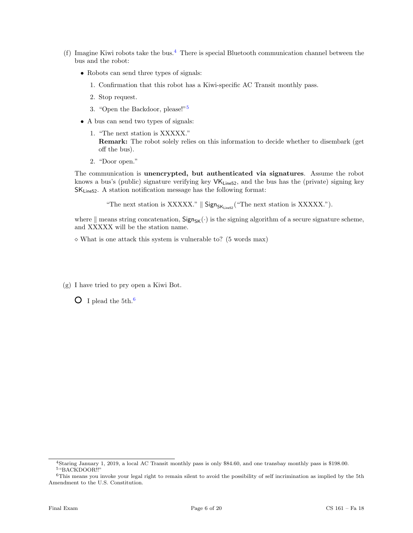- (f) Imagine Kiwi robots take the bus.<sup>[4](#page-5-0)</sup> There is special Bluetooth communication channel between the bus and the robot:
	- Robots can send three types of signals:
		- 1. Confirmation that this robot has a Kiwi-specific AC Transit monthly pass.
		- 2. Stop request.
		- 3. "Open the Backdoor, please!"[5](#page-5-1)
	- A bus can send two types of signals:
		- 1. "The next station is XXXXX." Remark: The robot solely relies on this information to decide whether to disembark (get off the bus).
		- 2. "Door open."

The communication is unencrypted, but authenticated via signatures. Assume the robot knows a bus's (public) signature verifying key  $VK_{\text{Line52}}$ , and the bus has the (private) signing key SKLine52. A station notification message has the following format:

"The next station is XXXXX."  $\parallel$  Sign<sub>SK<sub>Line52</sub> ("The next station is XXXXX.").</sub>

where  $\|$  means string concatenation,  $Sign_{SK}(\cdot)$  is the signing algorithm of a secure signature scheme, and XXXXX will be the station name.

 $\diamond$  What is one attack this system is vulnerable to? (5 words max)

(g) I have tried to pry open a Kiwi Bot.

 $\overline{O}$  I plead the 5th.<sup>[6](#page-5-2)</sup>

<span id="page-5-1"></span><span id="page-5-0"></span><sup>4</sup>Staring January 1, 2019, a local AC Transit monthly pass is only \$84.60, and one transbay monthly pass is \$198.00. <sup>5</sup>"BACKDOOR!!"

<span id="page-5-2"></span><sup>&</sup>lt;sup>6</sup>This means you invoke your legal right to remain silent to avoid the possibility of self incrimination as implied by the 5th Amendment to the U.S. Constitution.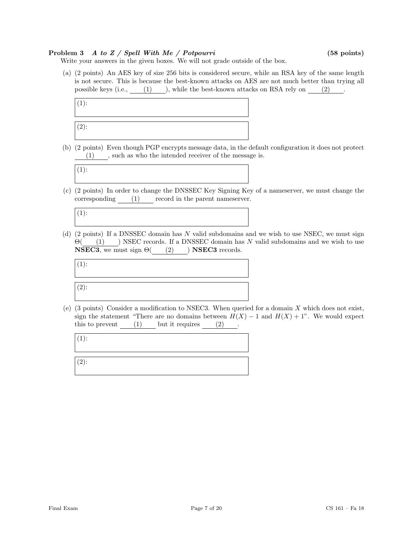# Problem 3 A to Z / Spell With Me / Potpourri (58 points)

Write your answers in the given boxes. We will not grade outside of the box.

(a) (2 points) An AES key of size 256 bits is considered secure, while an RSA key of the same length is not secure. This is because the best-known attacks on AES are not much better than trying all possible keys (i.e., (1) ), while the best-known attacks on RSA rely on (2).



(b) (2 points) Even though PGP encrypts message data, in the default configuration it does not protect (1) , such as who the intended receiver of the message is.



(c) (2 points) In order to change the DNSSEC Key Signing Key of a nameserver, we must change the corresponding  $(1)$  record in the parent nameserver.

 $(1):$ 

(d) (2 points) If a DNSSEC domain has N valid subdomains and we wish to use NSEC, we must sign  $\Theta$ ( (1) ) NSEC records. If a DNSSEC domain has N valid subdomains and we wish to use **NSEC3**, we must sign  $\Theta$  (2) ) **NSEC3** records.



(e)  $(3 \text{ points})$  Consider a modification to NSEC3. When queried for a domain X which does not exist, sign the statement "There are no domains between  $H(X) - 1$  and  $H(X) + 1$ ". We would expect this to prevent  $(1)$  but it requires  $(2)$ .

|                     | _________ |  |
|---------------------|-----------|--|
| $(1)$ :             |           |  |
|                     |           |  |
|                     |           |  |
| $\left( 2\right)$ : |           |  |
|                     |           |  |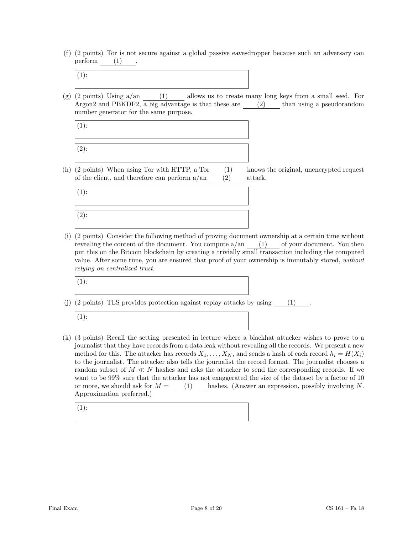(f) (2 points) Tor is not secure against a global passive eavesdropper because such an adversary can  $\text{perform}$  . (1)

|--|

(g)  $(2 \text{ points})$  Using  $a/\text{an}$   $(1)$  allows us to create many long keys from a small seed. For Argon2 and PBKDF2,  $\overline{a}$  big advantage is that these are (2) than using a pseudorandom number generator for the same purpose.



(h) (2 points) When using Tor with HTTP, a Tor (1) knows the original, unencrypted request of the client, and therefore can perform  $a/an$  (2) attack.



(i) (2 points) Consider the following method of proving document ownership at a certain time without revealing the content of the document. You compute  $a/an$  (1) of your document. You then put this on the Bitcoin blockchain by creating a trivially small transaction including the computed value. After some time, you are ensured that proof of your ownership is immutably stored, without relying on centralized trust.

(1):

(j) (2 points) TLS provides protection against replay attacks by using (1) .

 $(1)$ :

(k) (3 points) Recall the setting presented in lecture where a blackhat attacker wishes to prove to a journalist that they have records from a data leak without revealing all the records. We present a new method for this. The attacker has records  $X_1, \ldots, X_N$ , and sends a hash of each record  $h_i = H(X_i)$ to the journalist. The attacker also tells the journalist the record format. The journalist chooses a random subset of  $M \ll N$  hashes and asks the attacker to send the corresponding records. If we want to be  $99\%$  sure that the attacker has not exaggerated the size of the dataset by a factor of 10 or more, we should ask for  $M =$  (1) hashes. (Answer an expression, possibly involving N. Approximation preferred.)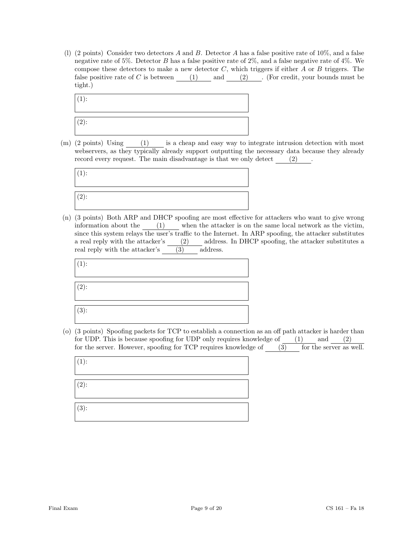(l) (2 points) Consider two detectors A and B. Detector A has a false positive rate of 10%, and a false negative rate of 5%. Detector B has a false positive rate of 2%, and a false negative rate of 4%. We compose these detectors to make a new detector  $C$ , which triggers if either  $A$  or  $B$  triggers. The false positive rate of C is between  $(1)$  and  $(2)$ . (For credit, your bounds must be tight.)



(m) (2 points) Using (1) is a cheap and easy way to integrate intrusion detection with most webservers, as they typically already support outputting the necessary data because they already record every request. The main disadvantage is that we only detect  $(2)$  .



(n) (3 points) Both ARP and DHCP spoofing are most effective for attackers who want to give wrong information about the (1) when the attacker is on the same local network as the victim, since this system relays the user's traffic to the Internet. In ARP spoofing, the attacker substitutes a real reply with the attacker's (2) address. In DHCP spoofing, the attacker substitutes a real reply with the attacker's (3) address.

| $(1)$ : |  |  |
|---------|--|--|
| $(2)$ : |  |  |
| $(3)$ : |  |  |

(o) (3 points) Spoofing packets for TCP to establish a connection as an off path attacker is harder than for UDP. This is because spoofing for UDP only requires knowledge of  $(1)$  and  $(2)$ for the server. However, spoofing for TCP requires knowledge of (3) for the server as well.

 $(1)$ : (2): (3):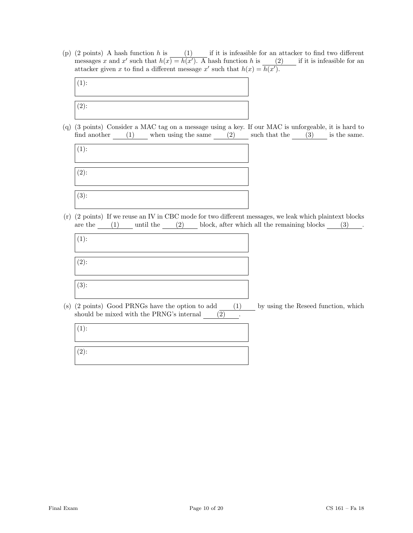(p)  $(2 \text{ points})$  A hash function h is  $(1)$  if it is infeasible for an attacker to find two different messages x and x' such that  $h(x) = h(x')$ . A hash function h is (2) if it is infeasible for an attacker given x to find a different message x' such that  $h(x) = h(x')$ .



(q) (3 points) Consider a MAC tag on a message using a key. If our MAC is unforgeable, it is hard to find another  $(1)$  when using the same  $(2)$  such that the  $(3)$  is the same.



(r) (2 points) If we reuse an IV in CBC mode for two different messages, we leak which plaintext blocks are the  $(1)$  until the  $(2)$  block, after which all the remaining blocks  $(3)$ .

| $(1)$ : |  |
|---------|--|
|         |  |
|         |  |
|         |  |
| $(2)$ : |  |
|         |  |
|         |  |
|         |  |
| $(3)$ : |  |
|         |  |
|         |  |

(s) (2 points) Good PRNGs have the option to add (1) by using the Reseed function, which should be mixed with the PRNG's internal  $\qquad \qquad (\overline{2})$ 

| $\vert(1)$ : |  |  |  |
|--------------|--|--|--|
| $(2)$ :      |  |  |  |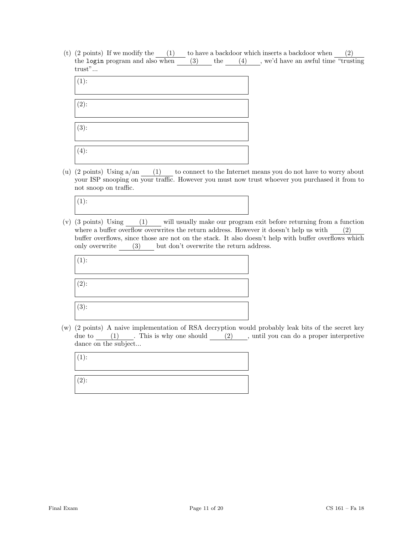(t)  $(2 \text{ points})$  If we modify the  $(1)$  to have a backdoor which inserts a backdoor when  $(2)$ the login program and also when (3) the (4) , we'd have an awful time "trusting trust"...

| $(1)$ :        |  |  |  |
|----------------|--|--|--|
| $(2)$ :        |  |  |  |
| $\sqrt{(3)}$ : |  |  |  |
| $(4)$ :        |  |  |  |

(u) (2 points) Using a/an (1) to connect to the Internet means you do not have to worry about your ISP snooping on your traffic. However you must now trust whoever you purchased it from to not snoop on traffic.

 $(1)$ :

(v) (3 points) Using (1) will usually make our program exit before returning from a function where a buffer overflow overwrites the return address. However it doesn't help us with (2) buffer overflows, since those are not on the stack. It also doesn't help with buffer overflows which only overwrite (3) but don't overwrite the return address.

| $(1)$ : |  |  |
|---------|--|--|
| $(2)$ : |  |  |
| $(3)$ : |  |  |

(w) (2 points) A naive implementation of RSA decryption would probably leak bits of the secret key due to  $(1)$  . This is why one should  $(2)$ , until you can do a proper interpretive dance on the subject...

 $(1):$ 

(2):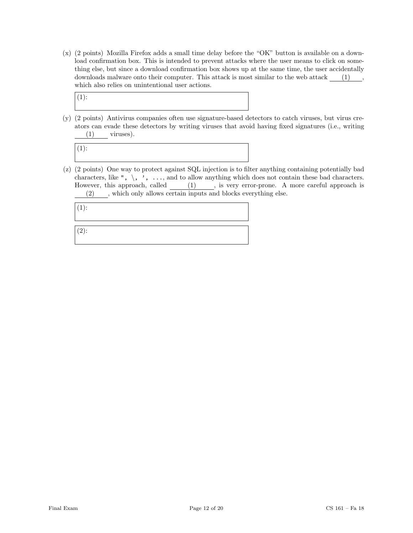(x) (2 points) Mozilla Firefox adds a small time delay before the "OK" button is available on a download confirmation box. This is intended to prevent attacks where the user means to click on something else, but since a download confirmation box shows up at the same time, the user accidentally downloads malware onto their computer. This attack is most similar to the web attack (1), which also relies on unintentional user actions.



(y) (2 points) Antivirus companies often use signature-based detectors to catch viruses, but virus creators can evade these detectors by writing viruses that avoid having fixed signatures (i.e., writing (1) viruses).



(z) (2 points) One way to protect against SQL injection is to filter anything containing potentially bad characters, like ",  $\setminus$ , ', ..., and to allow anything which does not contain these bad characters. However, this approach, called (1), is very error-prone. A more careful approach is (2) , which only allows certain inputs and blocks everything else.

(1):

(2):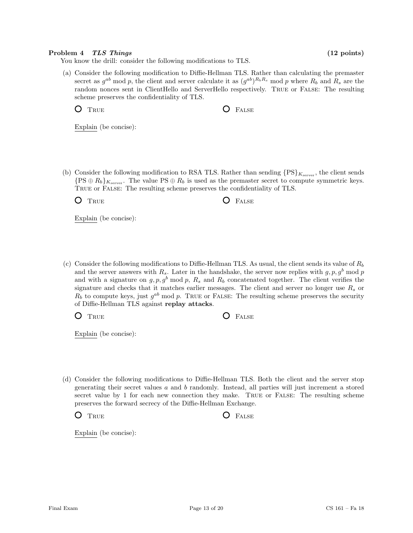# Problem 4 TLS Things (12 points)

You know the drill: consider the following modifications to TLS.

(a) Consider the following modification to Diffie-Hellman TLS. Rather than calculating the premaster secret as  $g^{ab}$  mod p, the client and server calculate it as  $(g^{ab})^{R_bR_s}$  mod p where  $R_b$  and  $R_s$  are the random nonces sent in ClientHello and ServerHello respectively. True or False: The resulting scheme preserves the confidentiality of TLS.

O TRUE **O** FALSE

Explain (be concise):

(b) Consider the following modification to RSA TLS. Rather than sending  $\{PS\}_{K_{\text{server}}}$ , the client sends  $\{PS \oplus R_b\}_{K_{\text{server}}}$ . The value  $PS \oplus R_b$  is used as the premaster secret to compute symmetric keys. True or False: The resulting scheme preserves the confidentiality of TLS.

O TRUE **O** FALSE

Explain (be concise):

(c) Consider the following modifications to Diffie-Hellman TLS. As usual, the client sends its value of  $R_b$ and the server answers with  $R_s$ . Later in the handshake, the server now replies with  $g, p, g^b \mod p$ and with a signature on  $g, p, g^b \mod p$ ,  $R_s$  and  $R_b$  concatenated together. The client verifies the signature and checks that it matches earlier messages. The client and server no longer use  $R_s$  or  $R_b$  to compute keys, just  $g^{ab}$  mod p. TRUE or FALSE: The resulting scheme preserves the security of Diffie-Hellman TLS against replay attacks.

O TRUE **C** FALSE

Explain (be concise):

(d) Consider the following modifications to Diffie-Hellman TLS. Both the client and the server stop generating their secret values a and b randomly. Instead, all parties will just increment a stored secret value by 1 for each new connection they make. True or False: The resulting scheme preserves the forward secrecy of the Diffie-Hellman Exchange.

O TRUE **O** FALSE

Explain (be concise):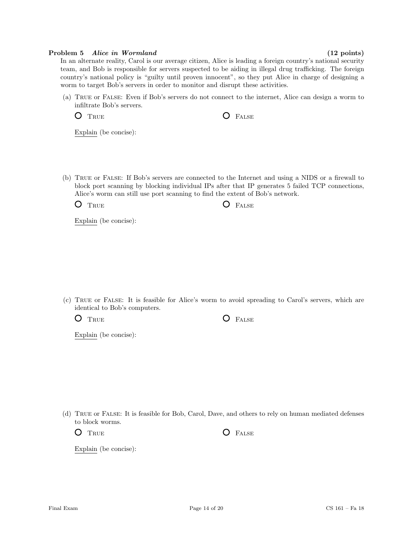# Problem 5 Alice in Wormland (12 points)

In an alternate reality, Carol is our average citizen, Alice is leading a foreign country's national security team, and Bob is responsible for servers suspected to be aiding in illegal drug trafficking. The foreign country's national policy is "guilty until proven innocent", so they put Alice in charge of designing a worm to target Bob's servers in order to monitor and disrupt these activities.

(a) True or False: Even if Bob's servers do not connect to the internet, Alice can design a worm to infiltrate Bob's servers.

O TRUE **O** FALSE

Explain (be concise):

(b) True or False: If Bob's servers are connected to the Internet and using a NIDS or a firewall to block port scanning by blocking individual IPs after that IP generates 5 failed TCP connections, Alice's worm can still use port scanning to find the extent of Bob's network.

 $O$   $T_{\text{RUE}}$   $O$   $F_{\text{ALSE}}$ 

Explain (be concise):

(c) True or False: It is feasible for Alice's worm to avoid spreading to Carol's servers, which are identical to Bob's computers.

O TRUE O FALSE

Explain (be concise):

(d) True or False: It is feasible for Bob, Carol, Dave, and others to rely on human mediated defenses to block worms.

O TRUE O FALSE

Explain (be concise):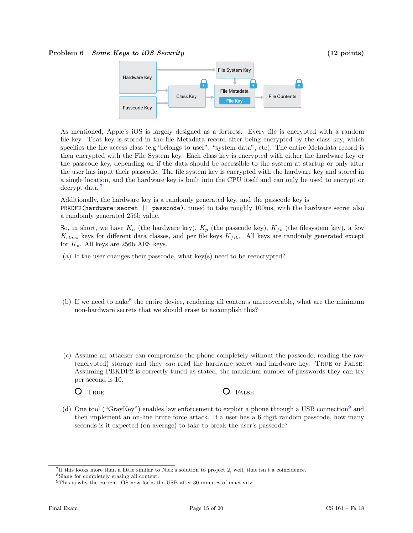### Problem 6 Some Keys to iOS Security (12 points)



As mentioned, Apple's iOS is largely designed as a fortress. Every file is encrypted with a random file key. That key is stored in the file Metadata record after being encrypted by the class key, which specifies the file access class (e.g<sup>*i*</sup>belongs to user", "system data", etc). The entire Metadata record is then encrypted with the File System key. Each class key is encrypted with either the hardware key or the passcode key, depending on if the data should be accessible to the system at startup or only after the user has input their passcode. The file system key is encrypted with the hardware key and stored in a single location, and the hardware key is built into the CPU itself and can only be used to encrypt or decrypt data.<sup>[7](#page-14-0)</sup>

Additionally, the hardware key is a randomly generated key, and the passcode key is

PBKDF2(hardware-secret || passcode), tuned to take roughly 100ms, with the hardware secret also a randomly generated 256b value.

So, in short, we have  $K_h$  (the hardware key),  $K_p$  (the passcode key),  $K_{fs}$  (the filesystem key), a few  $K_{class}$  keys for different data classes, and per file keys  $K_{file}$ . All keys are randomly generated except for  $K_p$ . All keys are 256b AES keys.

- (a) If the user changes their passcode, what key(s) need to be reencrypted?
- (b) If we need to nuke<sup>[8](#page-14-1)</sup> the entire device, rendering all contents unrecoverable, what are the minimum non-hardware secrets that we should erase to accomplish this?
- (c) Assume an attacker can compromise the phone completely without the passcode, reading the raw (encrypted) storage and they can read the hardware secret and hardware key. TRUE or FALSE: Assuming PBKDF2 is correctly tuned as stated, the maximum number of passwords they can try per second is 10.

O TRUE **O** FALSE

(d) One tool ("GrayKey") enables law enforcement to exploit a phone through a USB connection[9](#page-14-2) and then implement an on-line brute force attack. If a user has a 6 digit random passcode, how many seconds is it expected (on average) to take to break the user's passcode?

<span id="page-14-0"></span><sup>7</sup> If this looks more than a little similar to Nick's solution to project 2, well, that isn't a coincidence.

<span id="page-14-1"></span><sup>8</sup>Slang for completely erasing all content.

<span id="page-14-2"></span><sup>&</sup>lt;sup>9</sup>This is why the current iOS now locks the USB after 30 minutes of inactivity.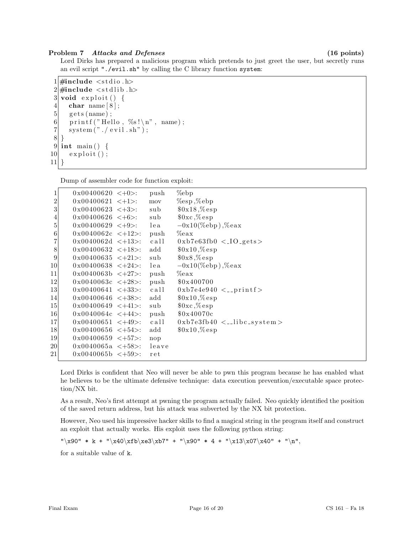# Problem 7 Attacks and Defenses (16 points)

Lord Dirks has prepared a malicious program which pretends to just greet the user, but secretly runs an evil script "./evil.sh" by calling the C library function system:

```
1 \#include \ltstdio.h>
 2 \#include \leq \leq \leq \leq \leq \leq \leq \leq \leq \leq \leq \leq \leq \leq \leq \leq \leq \leq \leq \leq \leq \leq \leq \leq \leq \leq \leq \leq \leq \leq \leq \leq \leq \leq \leq \leq3 void exploit () {
 4 char name [8];
 5 \mid gets (name);
 6 printf ("Hello, %s!\n", name);
 7 system ("./\text{ evil.sh"});
 8 }
 9 int main () {
10 exploit ();
11}
```
Dump of assembler code for function exploit:

| 1                | $0x00400620 < +0$       | push  | $\%$ ebp                                    |
|------------------|-------------------------|-------|---------------------------------------------|
| $\boldsymbol{2}$ | $0x00400621 < +1$ :     | mov   | $\%$ esp, $\%$ ebp                          |
| 3                | $0x00400623 \leq +3$ :  | sub   | $0x18, %$ esp                               |
| 4                | $0x00400626 < +6$       | sub   | $0 \times C$ , %esp                         |
| 5                | $0x00400629 \leq +9$ :  | lea   | $-0x10$ (%ebp), %eax                        |
| $\,6$            | $0x0040062c < +12$ :    | push  | $\%$ eax                                    |
| 7                | $0x0040062d \leq +13$ : | call  | $0xb7e63fb0 < 10-gets>$                     |
| $8\,$            | $0x00400632 \leq +18$ . | add   | $0x10, %$ esp                               |
| $\boldsymbol{9}$ | $0x00400635 \leq +21$ : | sub   | $0x8, %$ esp                                |
| 10               | $0x00400638 < +24$ :    | lea   | $-0x10$ (%ebp), %eax                        |
| 11               | $0x0040063b \leq +27$ : | push  | $\%$ eax                                    |
| 12               | $0x0040063c \leq +28$ . | push  | \$0x400700                                  |
| 13               | $0x00400641 < +33$ .    | call  | $0 \times b7e4e940 \leq \text{print}f$      |
| 14               | $0x00400646 \leq +38$ . | add   | $0x10, %$ esp                               |
| 15               | $0x00400649 < +41$ .    | sub   | $0 \times C$ , $\%$ esp                     |
| 16               | $0x0040064c < +44$ .    | push  | \$0x40070c                                  |
| 17               | $0x00400651 < +49$ .    | call  | $0 \times b7e3fb40 \leq \text{libc-system}$ |
| 18               | $0x00400656 < +54$ :    | add   | $0x10, %$ esp                               |
| 19               | $0x00400659 \leq +57$ : | nop   |                                             |
| 20               | $0x0040065a < +58$ .    | leave |                                             |
| 21               | $0x0040065b \leq +59$ : | ret   |                                             |
|                  |                         |       |                                             |

Lord Dirks is confident that Neo will never be able to pwn this program because he has enabled what he believes to be the ultimate defensive technique: data execution prevention/executable space protection/NX bit.

As a result, Neo's first attempt at pwning the program actually failed. Neo quickly identified the position of the saved return address, but his attack was subverted by the NX bit protection.

However, Neo used his impressive hacker skills to find a magical string in the program itself and construct an exploit that actually works. His exploit uses the following python string:

 $"\x90" * k + "\x40\xfb\ze3\xb7" + "\x90" * 4 + "\x13\xo7\xa0" + "\n",$ 

for a suitable value of k.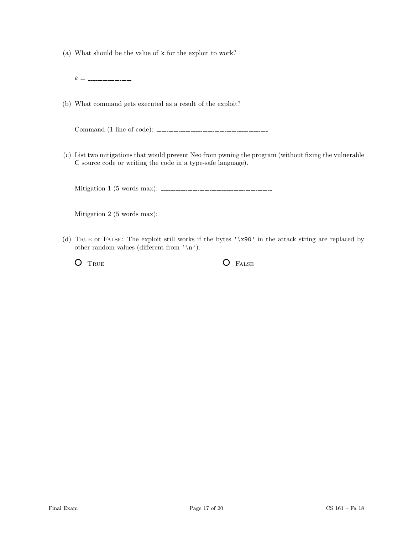(a) What should be the value of k for the exploit to work?

k =

(b) What command gets executed as a result of the exploit?

Command (1 line of code):

(c) List two mitigations that would prevent Neo from pwning the program (without fixing the vulnerable C source code or writing the code in a type-safe language).

Mitigation 1 (5 words max):

Mitigation 2 (5 words max):

(d) True or False: The exploit still works if the bytes '\x90' in the attack string are replaced by other random values (different from  $'\n\rightharpoonup n'$ ).

O TRUE O FALSE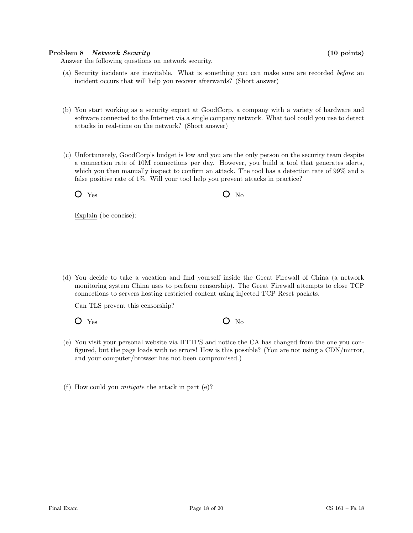# Problem 8 Network Security (10 points)

Answer the following questions on network security.

- (a) Security incidents are inevitable. What is something you can make sure are recorded before an incident occurs that will help you recover afterwards? (Short answer)
- (b) You start working as a security expert at GoodCorp, a company with a variety of hardware and software connected to the Internet via a single company network. What tool could you use to detect attacks in real-time on the network? (Short answer)
- (c) Unfortunately, GoodCorp's budget is low and you are the only person on the security team despite a connection rate of 10M connections per day. However, you build a tool that generates alerts, which you then manually inspect to confirm an attack. The tool has a detection rate of 99% and a false positive rate of 1%. Will your tool help you prevent attacks in practice?

 $O$  Yes  $O$  No

Explain (be concise):

(d) You decide to take a vacation and find yourself inside the Great Firewall of China (a network monitoring system China uses to perform censorship). The Great Firewall attempts to close TCP connections to servers hosting restricted content using injected TCP Reset packets.

Can TLS prevent this censorship?

 $O$  Yes  $O$  No

- (e) You visit your personal website via HTTPS and notice the CA has changed from the one you configured, but the page loads with no errors! How is this possible? (You are not using a CDN/mirror, and your computer/browser has not been compromised.)
- (f) How could you mitigate the attack in part (e)?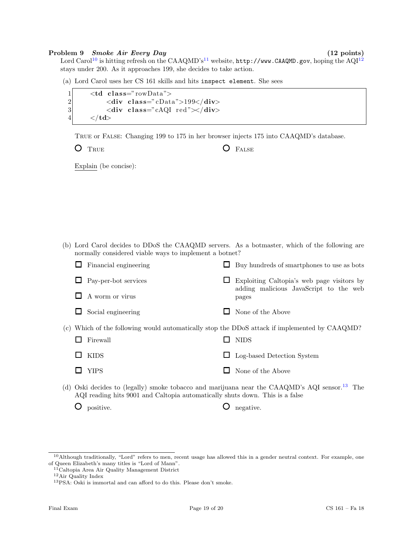### Problem 9 Smoke Air Every Day (12 points)

Lord Carol<sup>[10](#page-18-0)</sup> is hitting refresh on the CAAQMD's<sup>[11](#page-18-1)</sup> website, http://www.CAAQMD.gov, hoping the AQI<sup>[12](#page-18-2)</sup> stays under 200. As it approaches 199, she decides to take action.

(a) Lord Carol uses her CS 161 skills and hits inspect element. She sees

| $\mathbf{1}$     | $ltd$ class="rowData">                                        |
|------------------|---------------------------------------------------------------|
| $\overline{2}$   | $\langle$ div class="cData">199 $\langle$ div>                |
| $\overline{3}$   | $\langle$ div class="cAQI red" $\rangle\langle$ div $\rangle$ |
| $\left 4\right $ | $\langle t d \rangle$                                         |

True or False: Changing 199 to 175 in her browser injects 175 into CAAQMD's database.

O TRUE **O** FALSE

Explain (be concise):

(b) Lord Carol decides to DDoS the CAAQMD servers. As a botmaster, which of the following are normally considered viable ways to implement a botnet?

|                 | Financial engineering | ப     | Buy hundreds of smartphones to use as bots                                                                                                                                                                                                                                                                                            |
|-----------------|-----------------------|-------|---------------------------------------------------------------------------------------------------------------------------------------------------------------------------------------------------------------------------------------------------------------------------------------------------------------------------------------|
|                 | Pay-per-bot services  |       | Exploiting Caltopia's web page visitors by<br>adding malicious JavaScript to the web                                                                                                                                                                                                                                                  |
| A worm or virus |                       | pages |                                                                                                                                                                                                                                                                                                                                       |
|                 | Social engineering    |       | None of the Above                                                                                                                                                                                                                                                                                                                     |
|                 |                       |       | (c) Which of the following would automatically stop the DDoS attack if implemented by CAAQMD?                                                                                                                                                                                                                                         |
| Firewall        |                       |       | <b>NIDS</b>                                                                                                                                                                                                                                                                                                                           |
| <b>KIDS</b>     |                       | ப     | Log-based Detection System                                                                                                                                                                                                                                                                                                            |
| <b>YIPS</b>     |                       |       | None of the Above                                                                                                                                                                                                                                                                                                                     |
|                 |                       |       | (3) $\bigcap_{i=1}^{n}$ , $\bigcap_{i=1}^{n}$ , $\bigcap_{i=1}^{n}$ , $\bigcap_{i=1}^{n}$ , $\bigcap_{i=1}^{n}$ , $\bigcap_{i=1}^{n}$ , $\bigcap_{i=1}^{n}$ , $\bigcap_{i=1}^{n}$ , $\bigcap_{i=1}^{n}$ , $\bigcap_{i=1}^{n}$ , $\bigcap_{i=1}^{n}$ , $\bigcap_{i=1}^{n}$ , $\bigcap_{i=1}^{n}$ , $\bigcap_{i=1}^{n}$ , $\bigcap_{i=$ |

(d) Oski decides to (legally) smoke tobacco and marijuana near the CAAQMD's AQI sensor.[13](#page-18-3) The AQI reading hits 9001 and Caltopia automatically shuts down. This is a false

O positive.  $\bigcirc$  egative.

<span id="page-18-0"></span> $10$ Although traditionally, "Lord" refers to men, recent usage has allowed this in a gender neutral context. For example, one of Queen Elizabeth's many titles is "Lord of Mann".

<span id="page-18-1"></span><sup>11</sup>Caltopia Area Air Quality Management District

<span id="page-18-2"></span><sup>12</sup>Air Quality Index

<span id="page-18-3"></span><sup>13</sup>PSA: Oski is immortal and can afford to do this. Please don't smoke.